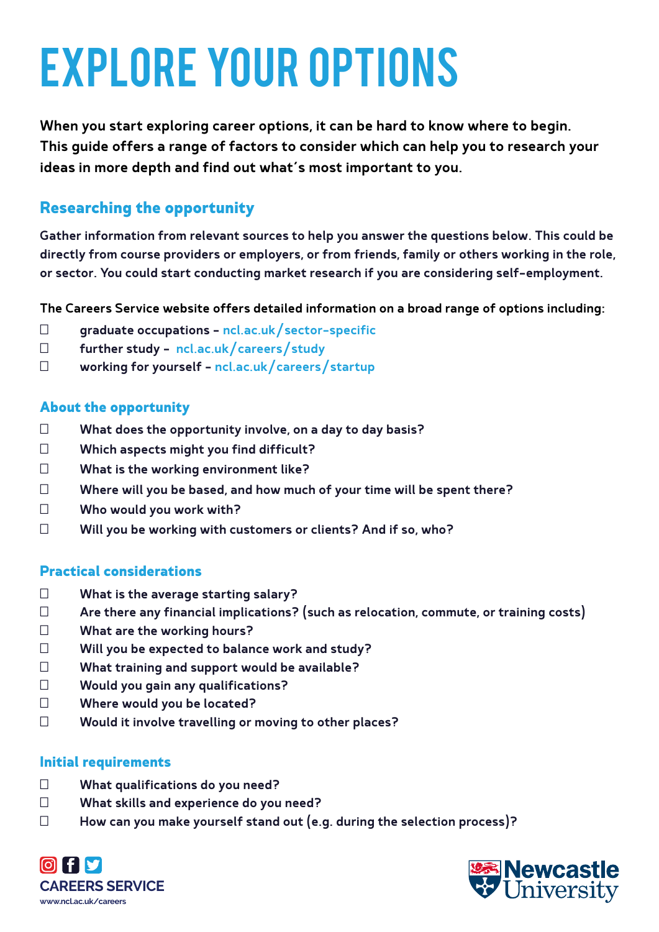# Explore your options

When you start exploring career options, it can be hard to know where to begin. This guide offers a range of factors to consider which can help you to research your ideas in more depth and find out what's most important to you.

# **Researching the opportunity**

Gather information from relevant sources to help you answer the questions below. This could be directly from course providers or employers, or from friends, family or others working in the role, or sector. You could start conducting market research if you are considering self-employment.

The Careers Service website offers detailed information on a broad range of options including:

graduate occupations – ncl.ac.uk/sector-specific further study – ncl.ac.uk/careers/study working for yourself – ncl.ac.uk/careers/startup

#### **About the opportunity**

What does the opportunity involve, on a day to day basis? Which aspects might you find difficult? What is the working environment like? Where will you be based, and how much of your time will be spent there? Who would you work with? Will you be working with customers or clients? And if so, who?

#### **Practical considerations**

What is the average starting salary? Are there any financial implications? (such as relocation, commute, or training costs) What are the working hours? Will you be expected to balance work and study? What training and support would be available? Would you gain any qualifications? Where would you be located? Would it involve travelling or moving to other places?

#### **Initial requirements**

What qualifications do you need? What skills and experience do you need? How can you make yourself stand out (e.g. during the selection process)?